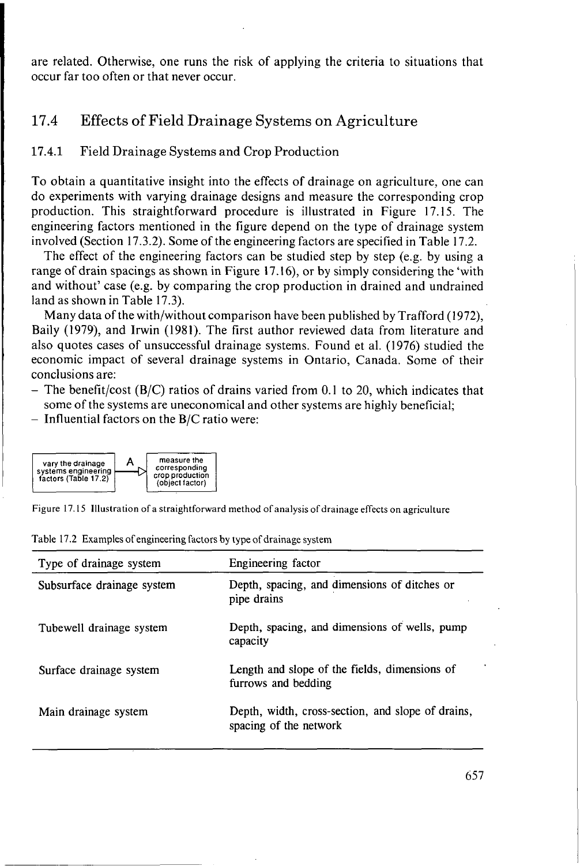are related. Otherwise, one runs the risk of applying the criteria to situations that occur far too often or that never occur.

# 17.4 Effects of Field Drainage Systems on Agriculture

# **17.4.1** Field Drainage Systems and Crop Production

To obtain a quantitative insight into the effects of drainage on agriculture, one can do experiments with varying drainage designs and measure the corresponding crop production. This straightforward procedure is illustrated in Figure 17.15. The engineering factors mentioned in the figure depend on the type of drainage system involved (Section 17.3.2). Some of the engineering factors are specified in Table 17.2.

The effect of the engineering factors can be studied step by step (e.g. by using a range of drain spacings as shown in Figure 17.16), or by simply considering the 'with and without' case (e.g. by comparing the crop production in drained and undrained land as shown in Table 17.3).

Many data of the with/without comparison have been published by Trafford (1972), Baily (1979), and Irwin (1981). The first author reviewed data from literature and also quotes cases of unsuccessful drainage systems. Found et al. (1976) studied the economic impact of several drainage systems in Ontario, Canada. Some of their conclusions are:

- The benefit/cost  $(B/C)$  ratios of drains varied from 0.1 to 20, which indicates that some of the systems are uneconomical and other systems are highly beneficial;
- $-$  Influential factors on the B/C ratio were:



Figure 17.15 Illustration of a straightforward method of analysis of drainage effects on agriculture

| Type of drainage system    | Engineering factor                                                          |
|----------------------------|-----------------------------------------------------------------------------|
| Subsurface drainage system | Depth, spacing, and dimensions of ditches or<br>pipe drains                 |
| Tubewell drainage system   | Depth, spacing, and dimensions of wells, pump<br>capacity                   |
| Surface drainage system    | Length and slope of the fields, dimensions of<br>furrows and bedding        |
| Main drainage system       | Depth, width, cross-section, and slope of drains,<br>spacing of the network |

Table 17.2 Examples of engineering factors by type of drainage system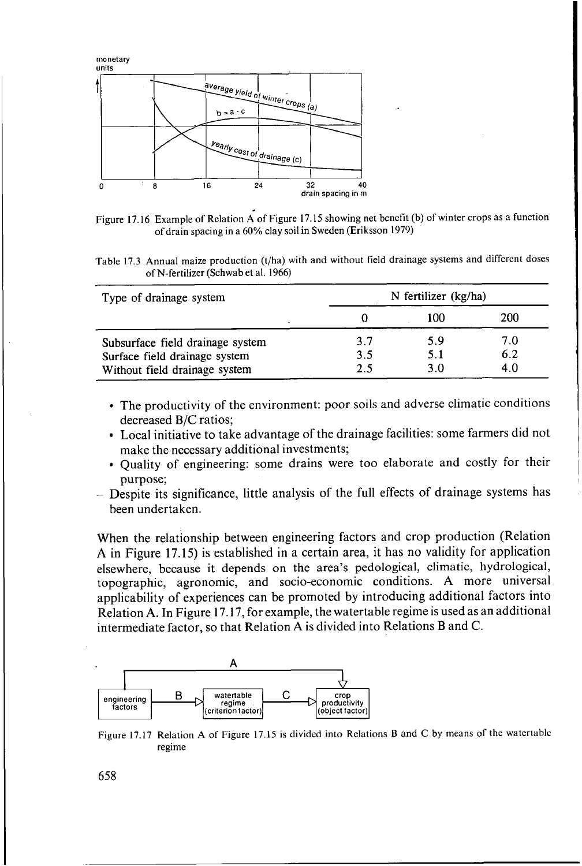

Figure 17.16 Example of Relation A of Figure 17.15 showing net benefit **(b)** of winter crops as a function of drain spacing in a 60% clay soil in Sweden (Eriksson 1979)

Table 17.3 Annual maize production (t/ha) with and without field drainage systems and different doses of N-fertilizer (Schwab et al. 1966)

| Type of drainage system          |     | N fertilizer (kg/ha) |     |  |
|----------------------------------|-----|----------------------|-----|--|
|                                  |     | 100                  | 200 |  |
| Subsurface field drainage system | 3.7 | 5.9                  | 7.0 |  |
| Surface field drainage system    | 3.5 | 5.1                  | 6.2 |  |
| Without field drainage system    | 2.5 | 3.0                  | 4.0 |  |

- The productivity of the environment: poor soils and adverse climatic conditions decreased B/C ratios;
- Local initiative to take advantage of the drainage facilities: some farmers did not make the necessary additional investments;
- Quality of engineering: some drains were too elaborate and costly for their purpose;
- Despite its significance, little analysis of the full effects of drainage systems has been undertaken.

When the relationship between engineering factors and crop production (Relation **A** in Figure 17.15) is established in a certain area, it has no validity for application elsewhere, because it depends on the area's pedological, climatic, hydrological, topographic, agronomic, and socio-economic conditions. **A** more universal applicability of experiences can be promoted by introducing additional factors into Relation **A.** In Figure 17.17, for example, the watertable regime is used as an additional intermediate factor, so that Relation **A** is divided into Relations B and C.



Figure 17.17 Relation **A** of Figure 17.15 is divided into Relations **B** and *C* by means of the watertable regime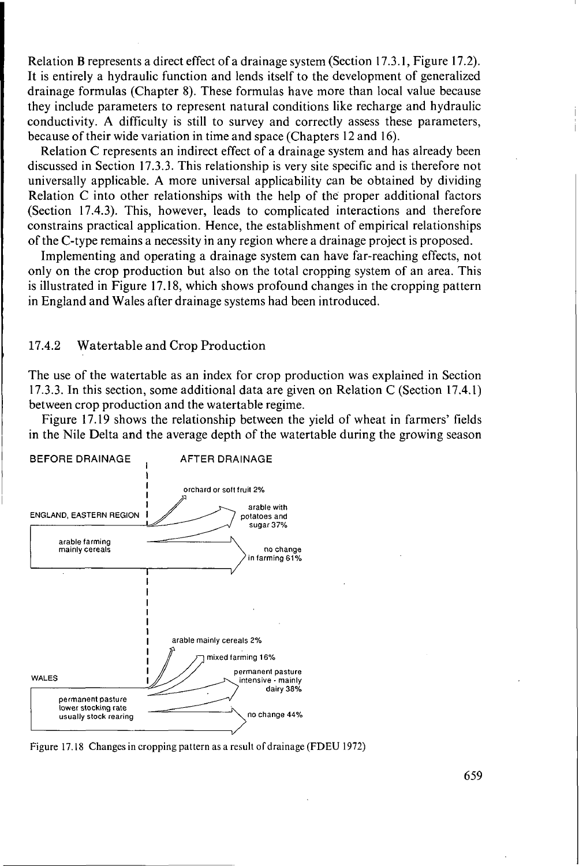Relation B represents a direct effect of a drainage system (Section 17.3.1, Figure 17.2). It is entirely a hydraulic function and lends itself to the development of generalized drainage formulas (Chapter 8). These formulas have more than local value because they include parameters to represent natural conditions like recharge and hydraulic conductivity. **A** difficulty is still to survey and correctly assess these parameters, because of their wide variation in time and space (Chapters 12 and 16).

Relation C represents an indirect effect of a drainage system and has already been discussed in Section 17.3.3. This relationship is very site specific and is therefore not universally applicable. **A** more universal applicability can be obtained by dividing Relation C into other relationships with the help of the proper additional factors (Section 17.4.3). This, however, leads to complicated interactions and therefore constrains practical application. Hence, the establishment of empirical relationships of the C-type remains a necessity in any region where a drainage project is proposed.

Implementing and operating a drainage system can have far-reaching effects, not only on the crop production but also on the total cropping system of an area. This is illustrated in Figure 17.18, which shows profound changes in the cropping pattern in England and Wales after drainage systems had been introduced.

# **17.4.2** Watertable and **Crop** Production

The use of the watertable as an index for crop production was explained in Section 17.3.3. In this section, some additional data are given on Relation C (Section 17.4.1) between crop production and the watertable regime.

Figure 17.19 shows the relationship between the yield of wheat in farmers' fields in the Nile Delta and the average depth of the watertable during the growing season



Figure 17. **I8** Changes in cropping pattern as a result of drainage (FDEU 1972)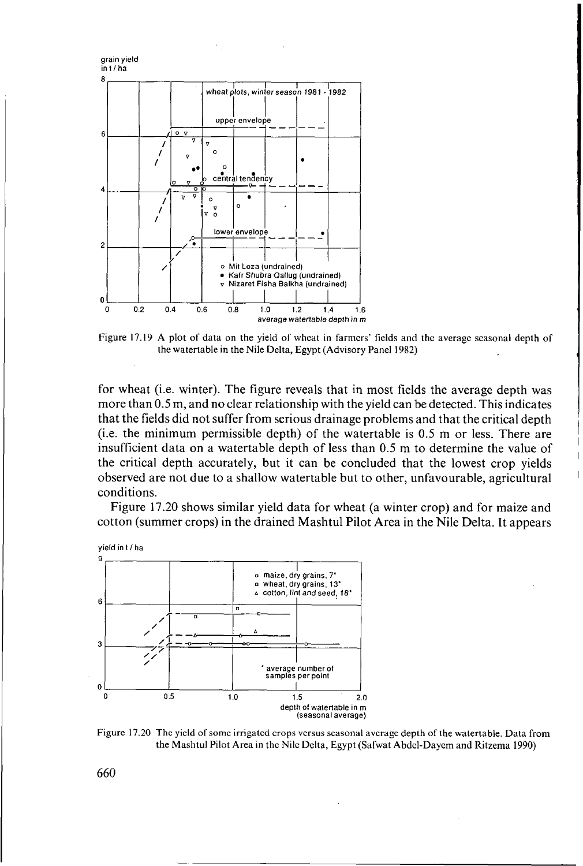

Figure 17.19 A plot of data on the yield of wheat in farmers' fields and the average seasonal depth of the watertable in the Nile Delta, Egypt (Advisory Panel 1982)

for wheat (i.e. winter). The figure reveals that in most fields the average depth was more than 0.5 m, and no clear relationship with the yield can be detected. This indicates that the fields did not suffer from serious drainage problems and that the critical depth (i.e. the minimum permissible depth) of the watertable is 0.5 m or less. There are insufficient data on a watertable depth of less than 0.5 m to determine the value of the critical depth accurately, but it can be concluded that the lowest crop yields observed are not due to a shallow watertable but to other, unfavourable, agricultural conditions.

Figure 17.20 shows similar yield data for wheat (a winter crop) and for maize and cotton (summer crops) in the drained Mashtul Pilot Area in the Nile Delta. It appears



Figure 17.20 **The** yield of some irrigated crops versus seasonal average depth of the watertable. Data from the Mashtul Pilot Area in the Nile Delta, Egypt (Safwat Abdel-Dayem and Ritzema 1990)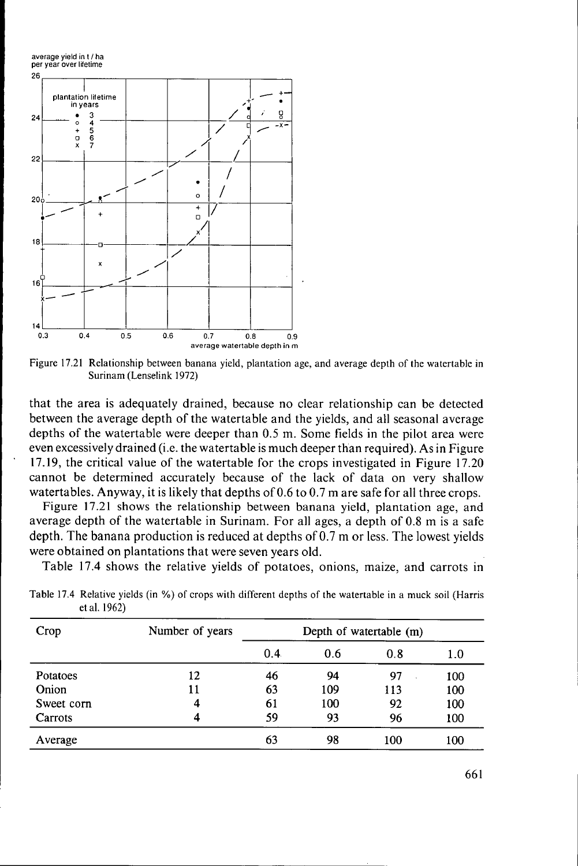

Figure 17.21 Relationship between banana yield, plantation age, and average depth of the watertable in Surinam (Lenselink 1972)

that the area is adequately drained, because no clear relationship can be detected between the average depth of the watertable and the yields, and all seasonal average depths of the watertable were deeper than 0.5 m. Some fields in the pilot area were even excessively drained (i.e. the watertable is much deeper than required). As in Figure 17.19, the critical value of the watertable for the crops investigated in Figure 17.20 cannot be determined accurately because of the lack of data on very shallow watertables. Anyway, it is likely that depths of 0.6 to 0.7 m are safe for all three crops.

Figure 17.21 shows the relationship between banana yield, plantation age, and average depth of the watertable in Surinam. For all ages, a depth of 0.8 m is a safe depth. The banana production is reduced at depths of 0.7 m or less. The lowest yields were obtained on plantations that were seven years old.

Table 17.4 shows the relative yields of potatoes, onions, maize, and carrots in

| Crop       | Number of years | Depth of watertable (m) |     |     |     |
|------------|-----------------|-------------------------|-----|-----|-----|
|            |                 | 0.4                     | 0.6 | 0.8 | 1.0 |
| Potatoes   | 12              | 46                      | 94  | 97  | 100 |
| Onion      | 11              | 63                      | 109 | 113 | 100 |
| Sweet corn | 4               | 61                      | 100 | 92  | 100 |
| Carrots    | 4               | 59                      | 93  | 96  | 100 |
| Average    |                 | 63                      | 98  | 100 | 100 |

Table **17.4** Relative yields (in %) of crops with different depths of the watertable in a muck soil (Harris et al. 1962)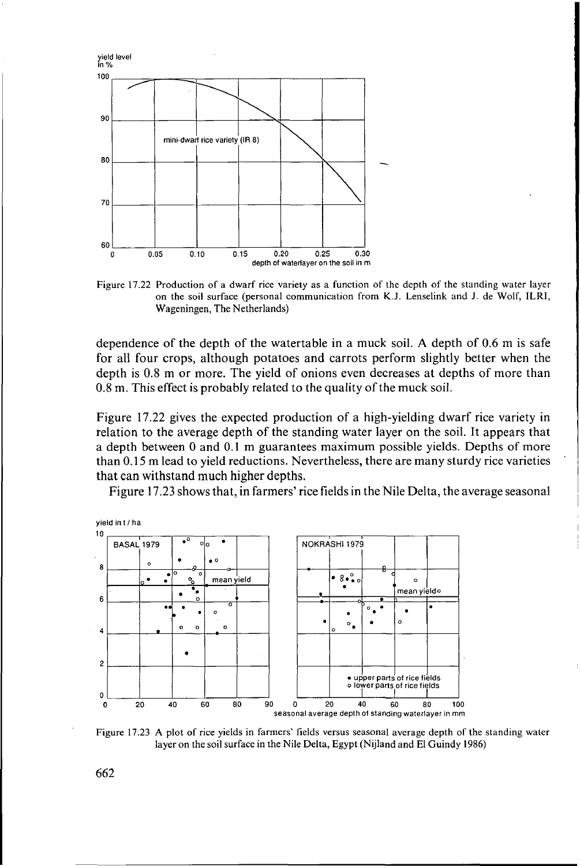

Figure **17.22** Production of a dwarf rice variety as a function of the depth of the standing water layer on the soil surface (personal communication from K.J. Lenselink and **J.** de Wolf, ILRI, Wageningen, The Netherlands)

dependence of the depth of the watertable in a muck soil. **A** depth of 0.6 m is safe for all four crops, although potatoes and carrots perform slightly better when the depth is 0.8 m or more. The yield of onions even decreases at depths of more than 0.8 m. This effect is probably related to the quality of the muck soil.

Figure 17.22 gives the expected production of a high-yielding dwarf rice variety in relation to the average depth of the standing water layer on the soil. It appears that a depth between O and 0.1 m guarantees maximum possible yields. Depths of more than O. 15 m lead to yield reductions. Nevertheless, there are many sturdy rice varieties that can withstand much higher depths.

Figure 17.23 shows that, in farmers' rice fields in the Nile Delta, the average seasonal



Figure **17.23 A** plot of rice yields in farmers' fields versus seasonal average depth of the standing water layer on the soil surface in the Nile Delta, Egypt (Nijland and EI Guindy 1986)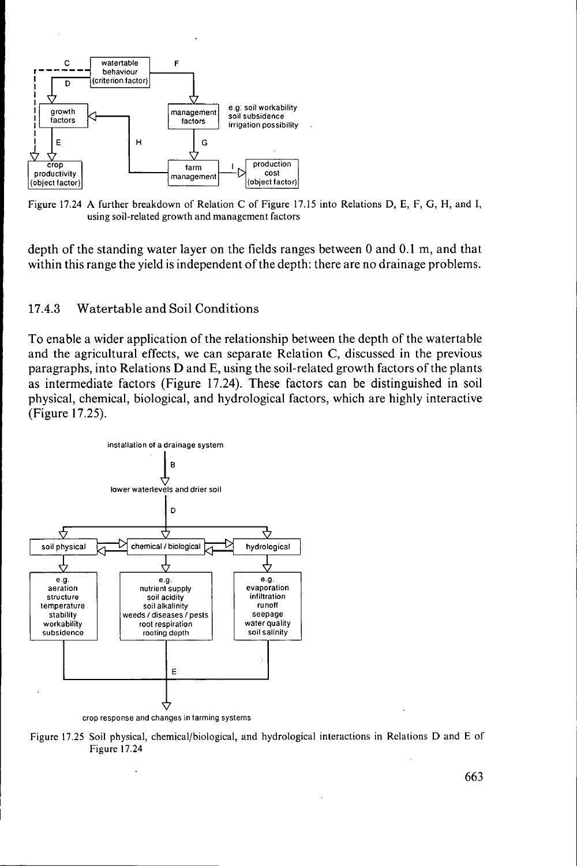

Figure **17.24 A** further breakdown of Relation **C** of Figure 17.15 into Relations D, **E,** F, *G,* H, and I, using soil-related growth and management factors

depth of the standing water layer on the fields ranges between 0 and 0.1 m, and that within this range the yield is independent of the depth: there are no drainage problems.

# **17.4.3** Watertable and Soil Conditions

To enable a wider application of the relationship between the depth of the watertable and the agricultural effects, we can separate Relation C, discussed in the previous paragraphs, into Relations D and E, using the soil-related growth factors of the plants as intermediate factors (Figure 17.24). These factors can be distinguished in soil physical, chemical, biological, and hydrological factors, which are highly interactive (Figure 17.25).



Figure **17.25** Soil physical, chemical/biological, and hydrological interactions in Relations D and **E** of Figure **17.24**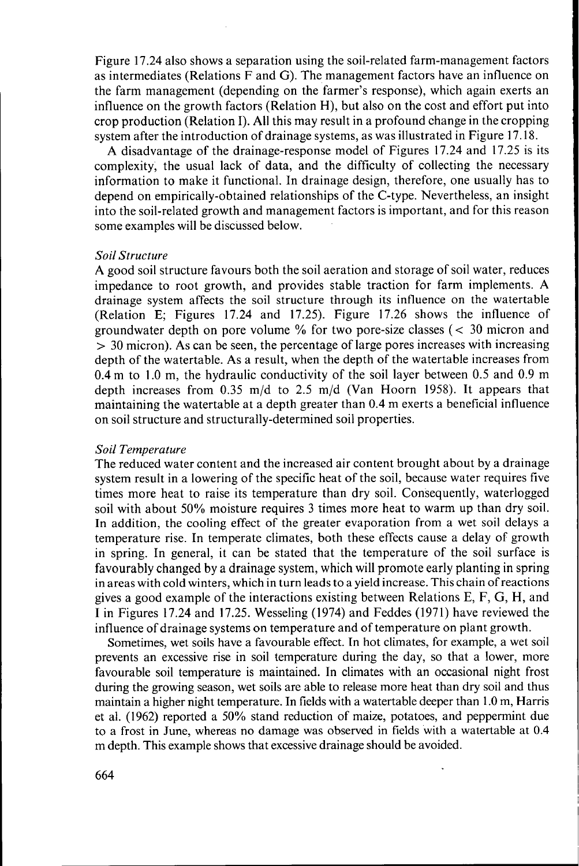Figure 17.24 also shows a separation using the soil-related farm-management factors as intermediates (Relations F and G). The management factors have an influence on the farm management (depending on the farmer's response), which again exerts an influence on the growth factors (Relation H), but also on the cost and effort put into crop production (Relation I). **All** this may result in a profound change in the cropping system after the introduction of drainage systems, as was illustrated in Figure 17.18.

**A** disadvantage of the drainage-response model of Figures 17.24 and 17.25 is its complexity, the usual lack of data, and the difficulty of collecting the necessary information to make it functional. In drainage design, therefore, one usually has to depend on empirically-obtained relationships of the C-type. Nevertheless, an insight into the soil-related growth and management factors is important, and for this reason some examples will be discussed below.

#### *Soil Structure*

**A** good soil structure favours both the soil aeration and storage of soil water, reduces impedance to root growth, and provides stable traction for farm implements. **A**  drainage system affects the soil structure through its influence on the watertable (Relation E; Figures 17.24 and 17.25). Figure 17.26 shows the influence of groundwater depth on pore volume  $\%$  for two pore-size classes ( $\lt$  30 micron and  $>$  30 micron). As can be seen, the percentage of large pores increases with increasing depth of the watertable. **As** a result, when the depth of the watertable increases from 0.4 m to **1** .O m, the hydraulic conductivity of the soil layer between 0.5 and 0.9 m depth increases from 0.35 m/d to 2.5 m/d (Van Hoorn 1958). It appears that maintaining the watertable at a depth greater than 0.4 m exerts a beneficial influence on soil structure and structurally-determined soil properties.

### *Soil Temperature*

The reduced water content and the increased air content brought about by a drainage system result in a lowering of the specific heat of the soil, because water requires five times more heat to raise its temperature than dry soil. Consequently, waterlogged soil with about 50% moisture requires 3 times more heat to warm up than dry soil. In addition, the cooling effect of the greater evaporation from a wet soil delays a temperature rise. In temperate climates, both these effects cause a delay of growth in spring. In general, it can be stated that the temperature of the soil surface is favourably changed by a drainage system, which will promote early planting in spring in areas with cold winters, which in turn leads to a yield increase. This chain of reactions gives a good example of the interactions existing between Relations E, F, G, H, and I in Figures 17.24 and 17.25. Wesseling (1974) and Feddes (1971) have reviewed the influence of drainage systems on temperature and of temperature on plant growth.

Sometimes, wet soils have a favourable effect. In hot climates, for example, a wet soil prevents an excessive rise in soil temperature during the day, so that a lower, more favourable soil temperature is maintained. In climates with an occasional night frost during the growing season, wet soils are able to release more heat than dry soil and thus maintain a higher night temperature. In fields with a watertable deeper than 1 .O m, Harris et al. (1962) reported a 50% stand reduction of maize, potatoes, and peppermint due to a frost in June, whereas no damage was observed in fields with a watertable at 0.4 m depth. This example shows that excessive drainage should be avoided.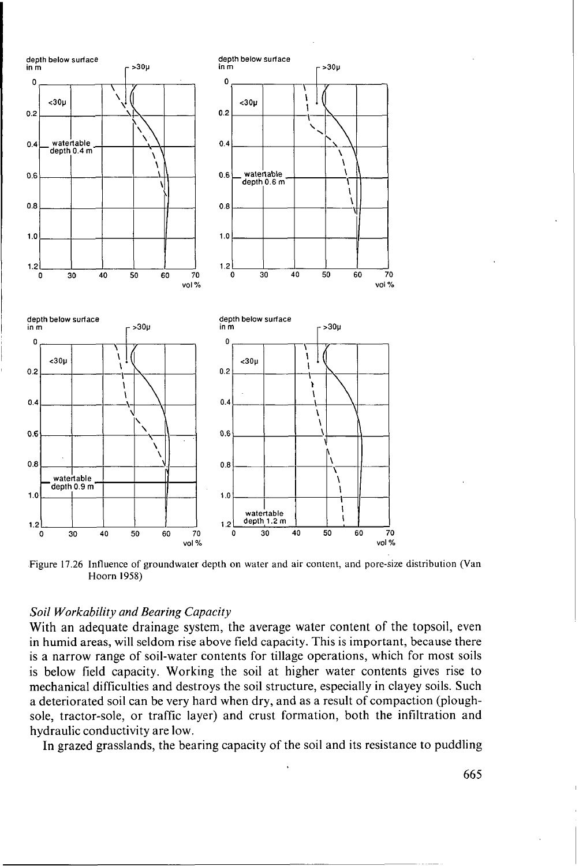

Figure 17.26 Influence of groundwater depth on water and air content, and pore-size distribution (Van Hoorn **1958)** 

## *Soil Workability and Bearing Capacity*

With an adequate drainage system, the average water content of the topsoil, even in humid areas, will seldom rise above field capacity. This is important, because there is a narrow range of soil-water contents for tillage operations, which for most soils is below field capacity. Working the soil at higher water contents gives rise to mechanical difficulties and destroys the soil structure, especially in clayey soils. Such a deteriorated soil can be very hard when dry, and as a result of compaction (ploughsole, tractor-sole, or traffic layer) and crust formation, both the infiltration and hydraulic conductivity are low.

In grazed grasslands, the bearing capacity of the soil and its resistance to puddling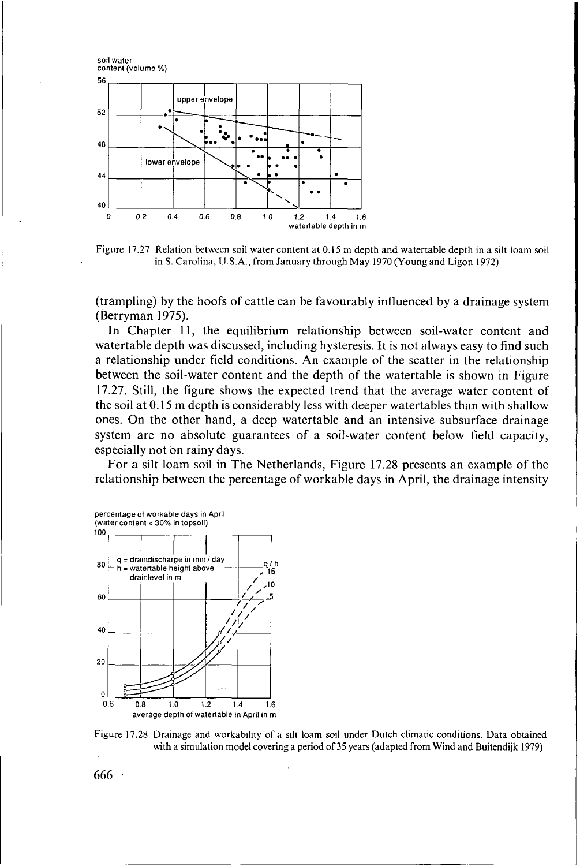

Figure 17.27 Relation between soil water content at 0.15 m depth and watertable depth in a silt loam soil in **S.** Carolina, **U.S.A.,** from January through May 1970 (Young and Ligon 1972)

(trampling) by the hoofs of cattle can be favourably influenced by a drainage system (Berryman 1975).

In Chapter 11, the equilibrium relationship between soil-water content and watertable depth was discussed, including hysteresis. It is not always easy to find such **a** relationship under field conditions. An example of the scatter in the relationship between the soil-water content and the depth of the watertable is shown in Figure 17.27. Still, the figure shows the expected trend that the average water content of the soil at *O.* 15 m depth is considerably less with deeper watertables than with shallow ones. On the other hand, a deep watertable and an intensive subsurface drainage system are no absolute guarantees of a soil-water content below field capacity, especially not on rainy days.

For a silt loam soil in The Netherlands, Figure **17.28** presents an example of the relationship between the percentage of workable days in April, the drainage intensity



Figure 17.28 Drainage and workability of **a** silt loam soil under Dutch climatic conditions. Data obtained with a simulation model covering a period of 35 years (adapted from Wind and Buitendijk 1979)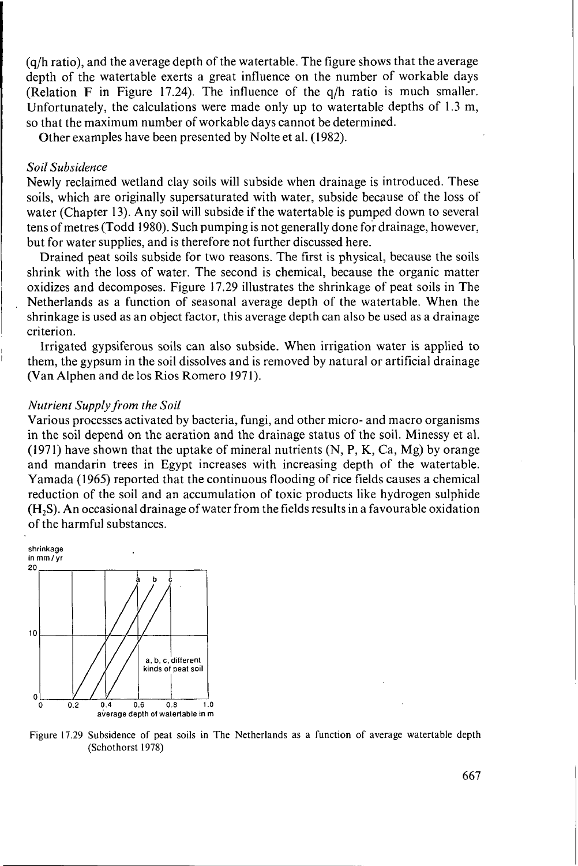(q/h ratio), and the average depth of the watertable. The figure shows that the average depth of the watertable exerts a great influence on the number of workable days (Relation F in Figure 17.24). The influence of the q/h ratio is much smaller. Unfortunately, the calculations were made only up to watertable depths of 1.3 m, so that the maximum number of workable days cannot be determined.

Other examples have been presented by Nolte et al. (1982).

#### *Soil Subsidence*

Newly reclaimed wetland clay soils will subside when drainage is introduced. These soils, which are originally supersaturated with water, subside because of the loss of water (Chapter 13). Any soil will subside if the watertable is pumped down to several tens of metres (Todd 1980). Such pumping is not generally done for drainage, however, but for water supplies, and is therefore not further discussed here.

Drained peat soils subside for two reasons. The first is physical, because the soils shrink with the loss of water. The second is chemical, because the organic matter oxidizes and decomposes. Figure 17.29 illustrates the shrinkage of peat soils in The Netherlands as a function of seasonal average depth of the watertable. When the shrinkage is used as an object factor, this average depth can also be used as a drainage criterion.

Irrigated gypsiferous soils can also subside. When irrigation water is applied to them, the gypsum in the soil dissolves and is removed by natural or artificial drainage (Van Alphen and de los Rios Romero 1971).

#### *Nutrient Supply from the Soil*

Various processes activated by bacteria, fungi, and other micro- and macro organisms in the soil depend on the aeration and the drainage status of the soil. Minessy et al. (1971) have shown that the uptake of mineral nutrients  $(N, P, K, Ca, Mg)$  by orange and mandarin trees in Egypt increases with increasing depth of the watertable. Yamada (1965) reported that the continuous flooding of rice fields causes a chemical reduction of the soil and an accumulation of toxic products like hydrogen sulphide **(H2S).** An occasional drainage ofwater from the fields results in a favourable oxidation of the harmful substances.



Figure 17.29 Subsidence of peat soils in The Netherlands as a function of average watertable depth (Schothorst 1978)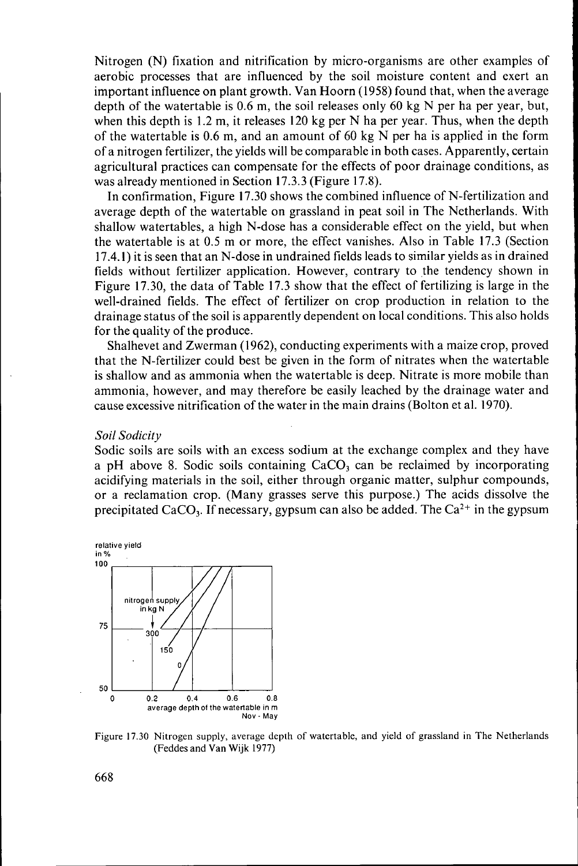Nitrogen (N) fixation and nitrification by micro-organisms are other examples of aerobic processes that are influenced by the soil moisture content and exert an important influence on plant growth. Van Hoorn (1958) found that, when the average depth of the watertable is 0.6 m, the soil releases only **60** kg N per ha per year, but, when this depth is 1.2 m, it releases 120 kg per N ha per year. Thus, when the depth of the watertable is  $0.6$  m, and an amount of 60 kg N per ha is applied in the form of a nitrogen fertilizer, the yields will be comparable in both cases. Apparently, certain agricultural practices can compensate for the effects of poor drainage conditions, as was already mentioned in Section 17.3.3 (Figure 17.8).

In confirmation, Figure 17.30 shows the combined influence of N-fertilization and average depth of the watertable on grassland in peat soil in The Netherlands. With shallow watertables, a high N-dose has a considerable effect on the yield, but when the watertable is at 0.5 m or more, the effect vanishes. Also in Table 17.3 (Section 17.4.1) it is seen that an N-dose in undrained fields leads to similar yields as in drained fields without fertilizer application. However, contrary to the tendency shown in Figure 17.30, the data of Table 17.3 show that the effect of fertilizing is large in the well-drained fields. The effect of fertilizer on crop production in relation to the drainage status of the soil is apparently dependent on local conditions. This also holds for the quality of the produce.

Shalhevet and Zwerman (1962), conducting experiments with a maize crop, proved that the N-fertilizer could best be given in the form of nitrates when the watertable is shallow and as ammonia when the watertable is deep. Nitrate is more mobile than ammonia, however, and may therefore be easily leached by the drainage water and cause excessive nitrification of the water in the main drains (Bolton et al. 1970).

#### *Soil Sodicity*

Sodic soils are soils with an excess sodium at the exchange complex and they have a pH above 8. Sodic soils containing CaCO, can be reclaimed by incorporating acidifying materials in the soil, either through organic matter, sulphur compounds, or a reclamation crop. (Many grasses serve this purpose.) The acids dissolve the precipitated CaCO<sub>3</sub>. If necessary, gypsum can also be added. The  $Ca^{2+}$  in the gypsum



Figure 17.30 Nitrogen **supply,** average depth **of** watertable, and yield of grassland in The Netherlands (Feddes and Van **Wijk 1977)**